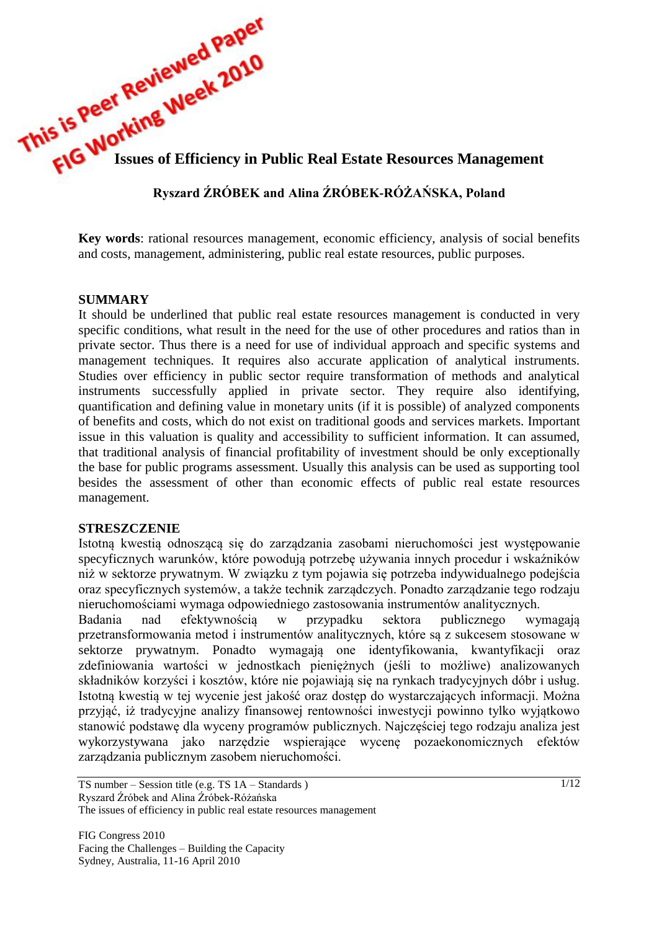

# **Ryszard ŹRÓBEK and Alina ŹRÓBEK-RÓŻAŃSKA, Poland**

**Key words**: rational resources management, economic efficiency, analysis of social benefits and costs, management, administering, public real estate resources, public purposes.

#### **SUMMARY**

It should be underlined that public real estate resources management is conducted in very specific conditions, what result in the need for the use of other procedures and ratios than in private sector. Thus there is a need for use of individual approach and specific systems and management techniques. It requires also accurate application of analytical instruments. Studies over efficiency in public sector require transformation of methods and analytical instruments successfully applied in private sector. They require also identifying, quantification and defining value in monetary units (if it is possible) of analyzed components of benefits and costs, which do not exist on traditional goods and services markets. Important issue in this valuation is quality and accessibility to sufficient information. It can assumed, that traditional analysis of financial profitability of investment should be only exceptionally the base for public programs assessment. Usually this analysis can be used as supporting tool besides the assessment of other than economic effects of public real estate resources management.

#### **STRESZCZENIE**

Istotną kwestią odnoszącą się do zarządzania zasobami nieruchomości jest występowanie specyficznych warunków, które powodują potrzebę używania innych procedur i wskaźników niż w sektorze prywatnym. W związku z tym pojawia się potrzeba indywidualnego podejścia oraz specyficznych systemów, a także technik zarządczych. Ponadto zarządzanie tego rodzaju nieruchomościami wymaga odpowiedniego zastosowania instrumentów analitycznych.

Badania nad efektywnością w przypadku sektora publicznego wymagają przetransformowania metod i instrumentów analitycznych, które są z sukcesem stosowane w sektorze prywatnym. Ponadto wymagają one identyfikowania, kwantyfikacji oraz zdefiniowania wartości w jednostkach pieniężnych (jeśli to możliwe) analizowanych składników korzyści i kosztów, które nie pojawiają się na rynkach tradycyjnych dóbr i usług. Istotną kwestią w tej wycenie jest jakość oraz dostęp do wystarczających informacji. Można przyjąć, iż tradycyjne analizy finansowej rentowności inwestycji powinno tylko wyjątkowo stanowić podstawę dla wyceny programów publicznych. Najczęściej tego rodzaju analiza jest wykorzystywana jako narzędzie wspierające wycenę pozaekonomicznych efektów zarządzania publicznym zasobem nieruchomości.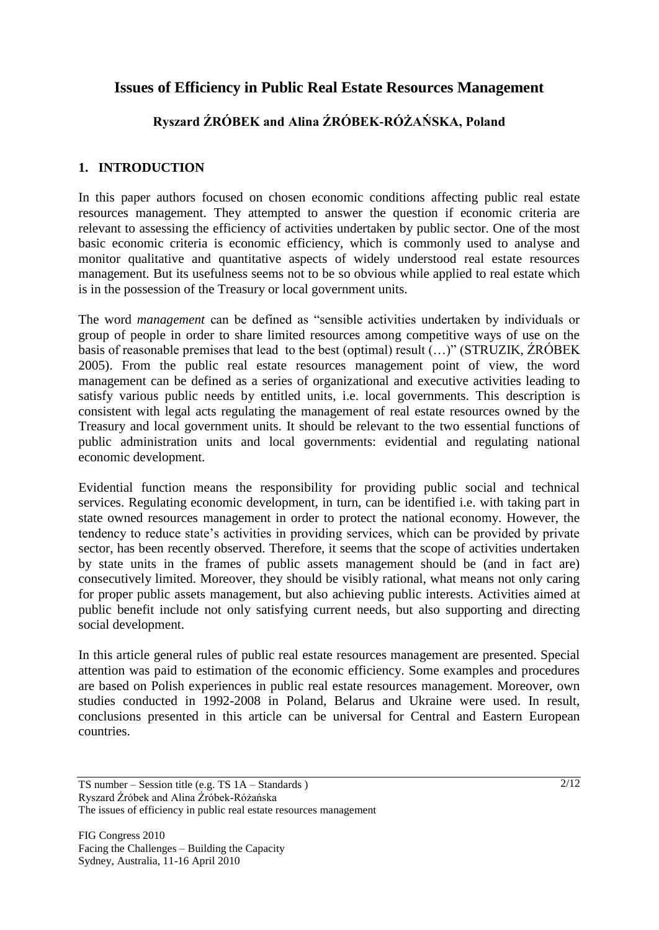# **Issues of Efficiency in Public Real Estate Resources Management**

# **Ryszard ŹRÓBEK and Alina ŹRÓBEK-RÓŻAŃSKA, Poland**

## **1. INTRODUCTION**

In this paper authors focused on chosen economic conditions affecting public real estate resources management. They attempted to answer the question if economic criteria are relevant to assessing the efficiency of activities undertaken by public sector. One of the most basic economic criteria is economic efficiency, which is commonly used to analyse and monitor qualitative and quantitative aspects of widely understood real estate resources management. But its usefulness seems not to be so obvious while applied to real estate which is in the possession of the Treasury or local government units.

The word *management* can be defined as "sensible activities undertaken by individuals or group of people in order to share limited resources among competitive ways of use on the basis of reasonable premises that lead to the best (optimal) result (…)" (STRUZIK, ŹRÓBEK 2005). From the public real estate resources management point of view, the word management can be defined as a series of organizational and executive activities leading to satisfy various public needs by entitled units, i.e. local governments. This description is consistent with legal acts regulating the management of real estate resources owned by the Treasury and local government units. It should be relevant to the two essential functions of public administration units and local governments: evidential and regulating national economic development.

Evidential function means the responsibility for providing public social and technical services. Regulating economic development, in turn, can be identified i.e. with taking part in state owned resources management in order to protect the national economy. However, the tendency to reduce state"s activities in providing services, which can be provided by private sector, has been recently observed. Therefore, it seems that the scope of activities undertaken by state units in the frames of public assets management should be (and in fact are) consecutively limited. Moreover, they should be visibly rational, what means not only caring for proper public assets management, but also achieving public interests. Activities aimed at public benefit include not only satisfying current needs, but also supporting and directing social development.

In this article general rules of public real estate resources management are presented. Special attention was paid to estimation of the economic efficiency. Some examples and procedures are based on Polish experiences in public real estate resources management. Moreover, own studies conducted in 1992-2008 in Poland, Belarus and Ukraine were used. In result, conclusions presented in this article can be universal for Central and Eastern European countries.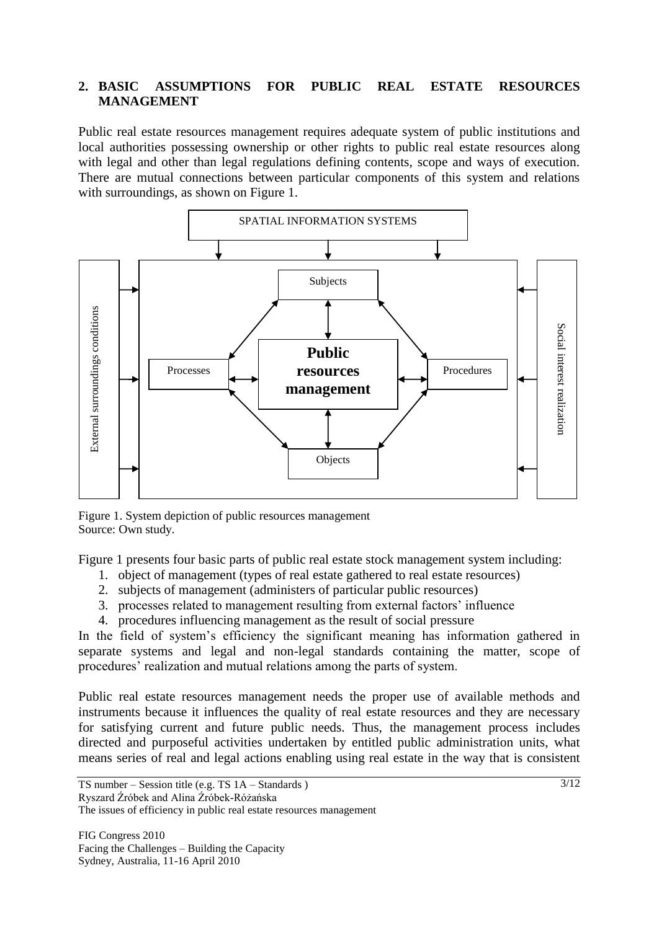### **2. BASIC ASSUMPTIONS FOR PUBLIC REAL ESTATE RESOURCES MANAGEMENT**

Public real estate resources management requires adequate system of public institutions and local authorities possessing ownership or other rights to public real estate resources along with legal and other than legal regulations defining contents, scope and ways of execution. There are mutual connections between particular components of this system and relations with surroundings, as shown on Figure 1.



Figure 1. System depiction of public resources management Source: Own study.

Figure 1 presents four basic parts of public real estate stock management system including:

- 1. object of management (types of real estate gathered to real estate resources)
- 2. subjects of management (administers of particular public resources)
- 3. processes related to management resulting from external factors" influence
- 4. procedures influencing management as the result of social pressure

In the field of system's efficiency the significant meaning has information gathered in separate systems and legal and non-legal standards containing the matter, scope of procedures' realization and mutual relations among the parts of system.

Public real estate resources management needs the proper use of available methods and instruments because it influences the quality of real estate resources and they are necessary for satisfying current and future public needs. Thus, the management process includes directed and purposeful activities undertaken by entitled public administration units, what means series of real and legal actions enabling using real estate in the way that is consistent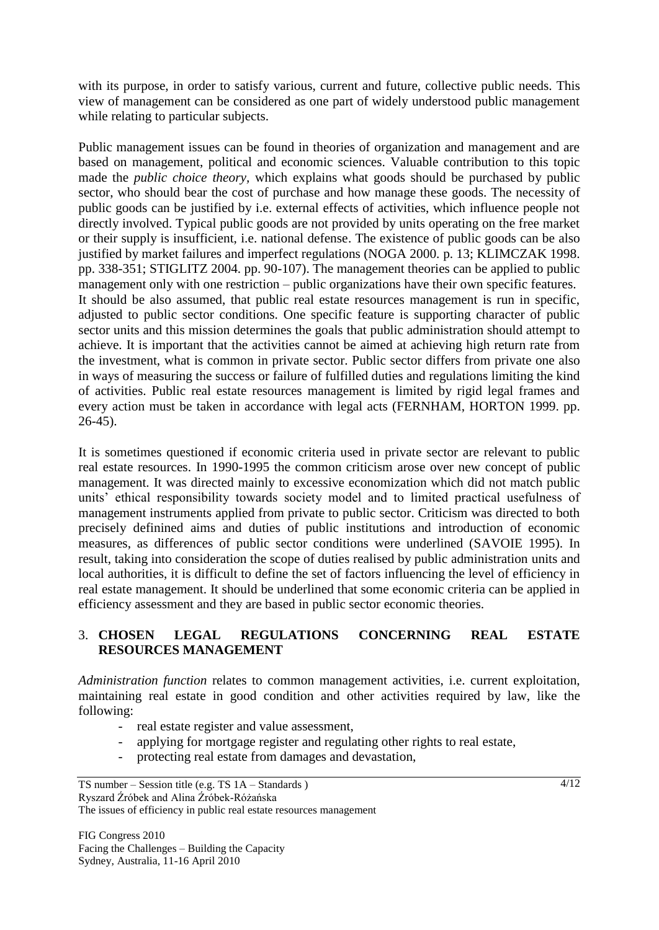with its purpose, in order to satisfy various, current and future, collective public needs. This view of management can be considered as one part of widely understood public management while relating to particular subjects.

Public management issues can be found in theories of organization and management and are based on management, political and economic sciences. Valuable contribution to this topic made the *public choice theory,* which explains what goods should be purchased by public sector, who should bear the cost of purchase and how manage these goods. The necessity of public goods can be justified by i.e. external effects of activities, which influence people not directly involved. Typical public goods are not provided by units operating on the free market or their supply is insufficient, i.e. national defense. The existence of public goods can be also justified by market failures and imperfect regulations (NOGA 2000. p. 13; KLIMCZAK 1998. pp. 338-351; STIGLITZ 2004. pp. 90-107). The management theories can be applied to public management only with one restriction – public organizations have their own specific features. It should be also assumed, that public real estate resources management is run in specific, adjusted to public sector conditions. One specific feature is supporting character of public sector units and this mission determines the goals that public administration should attempt to achieve. It is important that the activities cannot be aimed at achieving high return rate from the investment, what is common in private sector. Public sector differs from private one also in ways of measuring the success or failure of fulfilled duties and regulations limiting the kind of activities. Public real estate resources management is limited by rigid legal frames and every action must be taken in accordance with legal acts (FERNHAM, HORTON 1999. pp. 26-45).

It is sometimes questioned if economic criteria used in private sector are relevant to public real estate resources. In 1990-1995 the common criticism arose over new concept of public management. It was directed mainly to excessive economization which did not match public units" ethical responsibility towards society model and to limited practical usefulness of management instruments applied from private to public sector. Criticism was directed to both precisely definined aims and duties of public institutions and introduction of economic measures, as differences of public sector conditions were underlined (SAVOIE 1995). In result, taking into consideration the scope of duties realised by public administration units and local authorities, it is difficult to define the set of factors influencing the level of efficiency in real estate management. It should be underlined that some economic criteria can be applied in efficiency assessment and they are based in public sector economic theories.

### 3. **CHOSEN LEGAL REGULATIONS CONCERNING REAL ESTATE RESOURCES MANAGEMENT**

*Administration function* relates to common management activities, i.e. current exploitation, maintaining real estate in good condition and other activities required by law, like the following:

- real estate register and value assessment,
- applying for mortgage register and regulating other rights to real estate,
- protecting real estate from damages and devastation,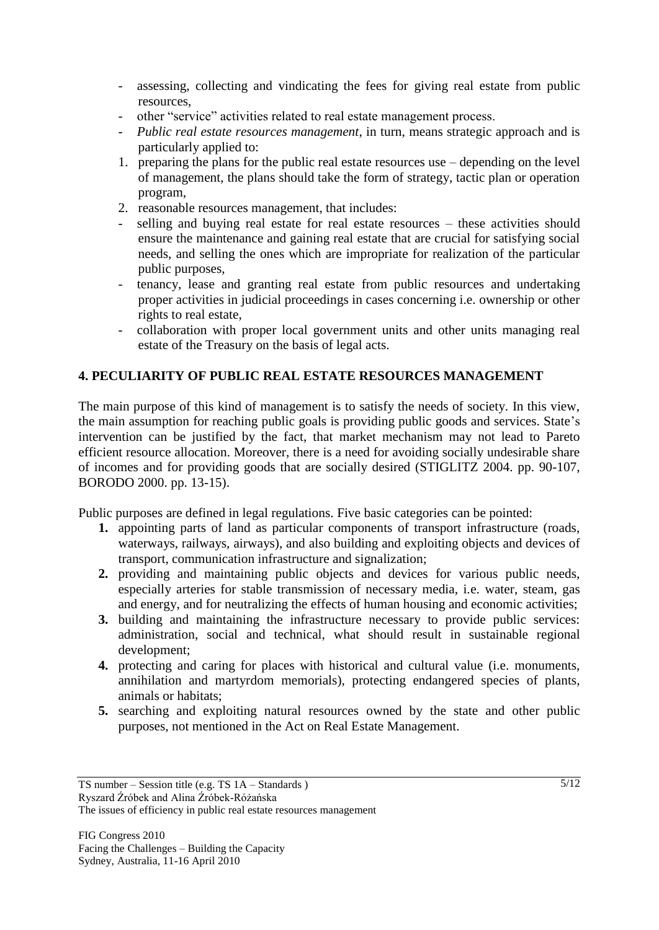- assessing, collecting and vindicating the fees for giving real estate from public resources,
- other "service" activities related to real estate management process.
- *Public real estate resources management*, in turn, means strategic approach and is particularly applied to:
- 1. preparing the plans for the public real estate resources use depending on the level of management, the plans should take the form of strategy, tactic plan or operation program,
- 2. reasonable resources management, that includes:
- selling and buying real estate for real estate resources these activities should ensure the maintenance and gaining real estate that are crucial for satisfying social needs, and selling the ones which are impropriate for realization of the particular public purposes,
- tenancy, lease and granting real estate from public resources and undertaking proper activities in judicial proceedings in cases concerning i.e. ownership or other rights to real estate,
- collaboration with proper local government units and other units managing real estate of the Treasury on the basis of legal acts.

### **4. PECULIARITY OF PUBLIC REAL ESTATE RESOURCES MANAGEMENT**

The main purpose of this kind of management is to satisfy the needs of society. In this view, the main assumption for reaching public goals is providing public goods and services. State"s intervention can be justified by the fact, that market mechanism may not lead to Pareto efficient resource allocation. Moreover, there is a need for avoiding socially undesirable share of incomes and for providing goods that are socially desired (STIGLITZ 2004. pp. 90-107, BORODO 2000. pp. 13-15).

Public purposes are defined in legal regulations. Five basic categories can be pointed:

- **1.** appointing parts of land as particular components of transport infrastructure (roads, waterways, railways, airways), and also building and exploiting objects and devices of transport, communication infrastructure and signalization;
- **2.** providing and maintaining public objects and devices for various public needs, especially arteries for stable transmission of necessary media, i.e. water, steam, gas and energy, and for neutralizing the effects of human housing and economic activities;
- **3.** building and maintaining the infrastructure necessary to provide public services: administration, social and technical, what should result in sustainable regional development;
- **4.** protecting and caring for places with historical and cultural value (i.e. monuments, annihilation and martyrdom memorials), protecting endangered species of plants, animals or habitats;
- **5.** searching and exploiting natural resources owned by the state and other public purposes, not mentioned in the Act on Real Estate Management.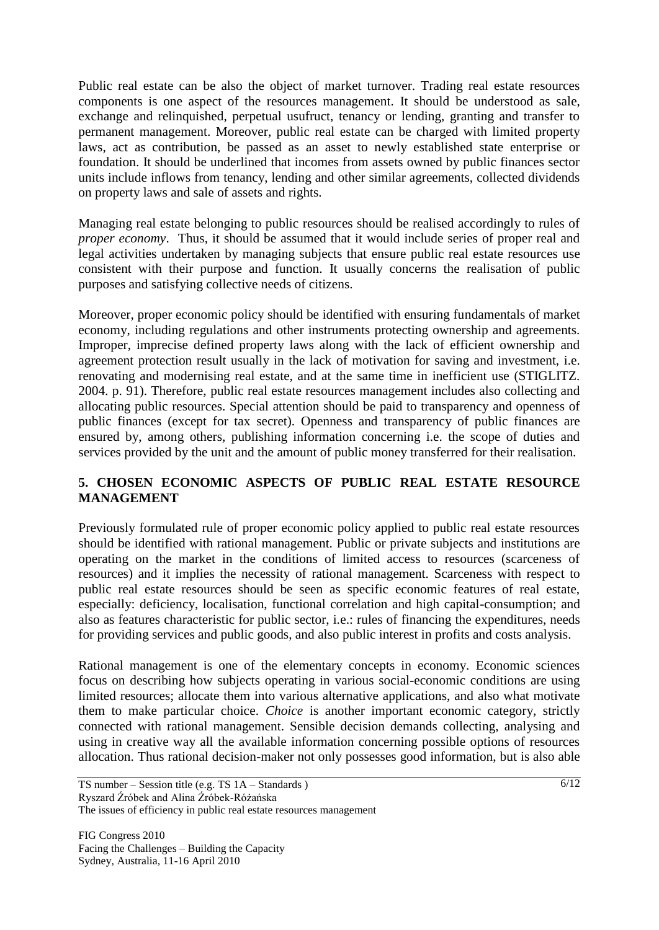Public real estate can be also the object of market turnover. Trading real estate resources components is one aspect of the resources management. It should be understood as sale, exchange and relinquished, perpetual usufruct, tenancy or lending, granting and transfer to permanent management. Moreover, public real estate can be charged with limited property laws, act as contribution, be passed as an asset to newly established state enterprise or foundation. It should be underlined that incomes from assets owned by public finances sector units include inflows from tenancy, lending and other similar agreements, collected dividends on property laws and sale of assets and rights.

Managing real estate belonging to public resources should be realised accordingly to rules of *proper economy*. Thus, it should be assumed that it would include series of proper real and legal activities undertaken by managing subjects that ensure public real estate resources use consistent with their purpose and function. It usually concerns the realisation of public purposes and satisfying collective needs of citizens.

Moreover, proper economic policy should be identified with ensuring fundamentals of market economy, including regulations and other instruments protecting ownership and agreements. Improper, imprecise defined property laws along with the lack of efficient ownership and agreement protection result usually in the lack of motivation for saving and investment, i.e. renovating and modernising real estate, and at the same time in inefficient use (STIGLITZ. 2004. p. 91). Therefore, public real estate resources management includes also collecting and allocating public resources. Special attention should be paid to transparency and openness of public finances (except for tax secret). Openness and transparency of public finances are ensured by, among others, publishing information concerning i.e. the scope of duties and services provided by the unit and the amount of public money transferred for their realisation.

### **5. CHOSEN ECONOMIC ASPECTS OF PUBLIC REAL ESTATE RESOURCE MANAGEMENT**

Previously formulated rule of proper economic policy applied to public real estate resources should be identified with rational management. Public or private subjects and institutions are operating on the market in the conditions of limited access to resources (scarceness of resources) and it implies the necessity of rational management. Scarceness with respect to public real estate resources should be seen as specific economic features of real estate, especially: deficiency, localisation, functional correlation and high capital-consumption; and also as features characteristic for public sector, i.e.: rules of financing the expenditures, needs for providing services and public goods, and also public interest in profits and costs analysis.

Rational management is one of the elementary concepts in economy. Economic sciences focus on describing how subjects operating in various social-economic conditions are using limited resources; allocate them into various alternative applications, and also what motivate them to make particular choice. *Choice* is another important economic category, strictly connected with rational management. Sensible decision demands collecting, analysing and using in creative way all the available information concerning possible options of resources allocation. Thus rational decision-maker not only possesses good information, but is also able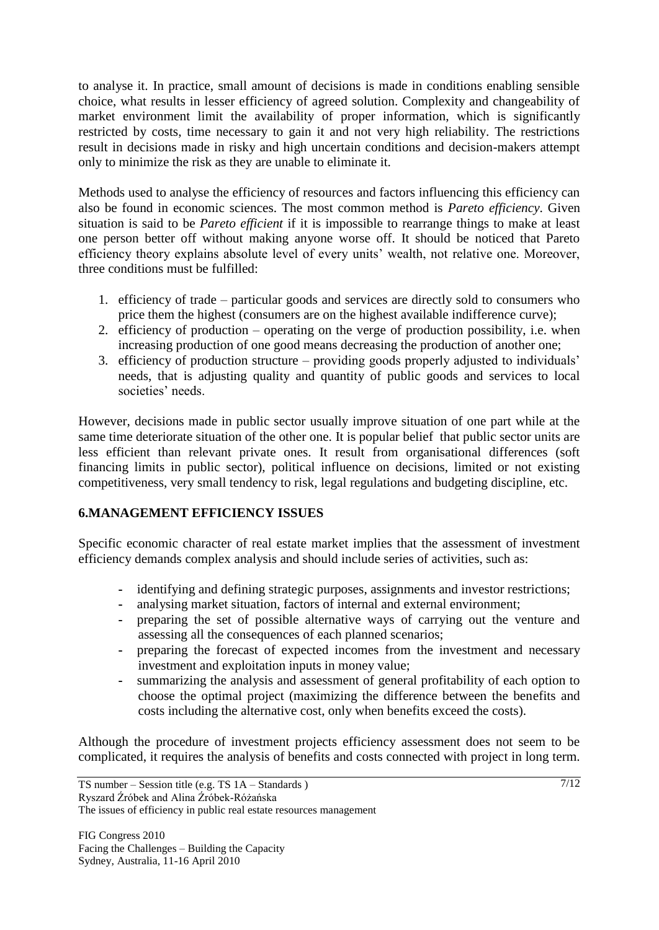to analyse it. In practice, small amount of decisions is made in conditions enabling sensible choice, what results in lesser efficiency of agreed solution. Complexity and changeability of market environment limit the availability of proper information, which is significantly restricted by costs, time necessary to gain it and not very high reliability. The restrictions result in decisions made in risky and high uncertain conditions and decision-makers attempt only to minimize the risk as they are unable to eliminate it.

Methods used to analyse the efficiency of resources and factors influencing this efficiency can also be found in economic sciences. The most common method is *Pareto efficiency*. Given situation is said to be *Pareto efficient* if it is impossible to rearrange things to make at least one person better off without making anyone worse off. It should be noticed that Pareto efficiency theory explains absolute level of every units' wealth, not relative one. Moreover, three conditions must be fulfilled:

- 1. efficiency of trade particular goods and services are directly sold to consumers who price them the highest (consumers are on the highest available indifference curve);
- 2. efficiency of production operating on the verge of production possibility, i.e. when increasing production of one good means decreasing the production of another one;
- 3. efficiency of production structure providing goods properly adjusted to individuals" needs, that is adjusting quality and quantity of public goods and services to local societies' needs.

However, decisions made in public sector usually improve situation of one part while at the same time deteriorate situation of the other one. It is popular belief that public sector units are less efficient than relevant private ones. It result from organisational differences (soft financing limits in public sector), political influence on decisions, limited or not existing competitiveness, very small tendency to risk, legal regulations and budgeting discipline, etc.

## **6.MANAGEMENT EFFICIENCY ISSUES**

Specific economic character of real estate market implies that the assessment of investment efficiency demands complex analysis and should include series of activities, such as:

- **-** identifying and defining strategic purposes, assignments and investor restrictions;
- **-** analysing market situation, factors of internal and external environment;
- **-** preparing the set of possible alternative ways of carrying out the venture and assessing all the consequences of each planned scenarios;
- **-** preparing the forecast of expected incomes from the investment and necessary investment and exploitation inputs in money value;
- **-** summarizing the analysis and assessment of general profitability of each option to choose the optimal project (maximizing the difference between the benefits and costs including the alternative cost, only when benefits exceed the costs).

Although the procedure of investment projects efficiency assessment does not seem to be complicated, it requires the analysis of benefits and costs connected with project in long term.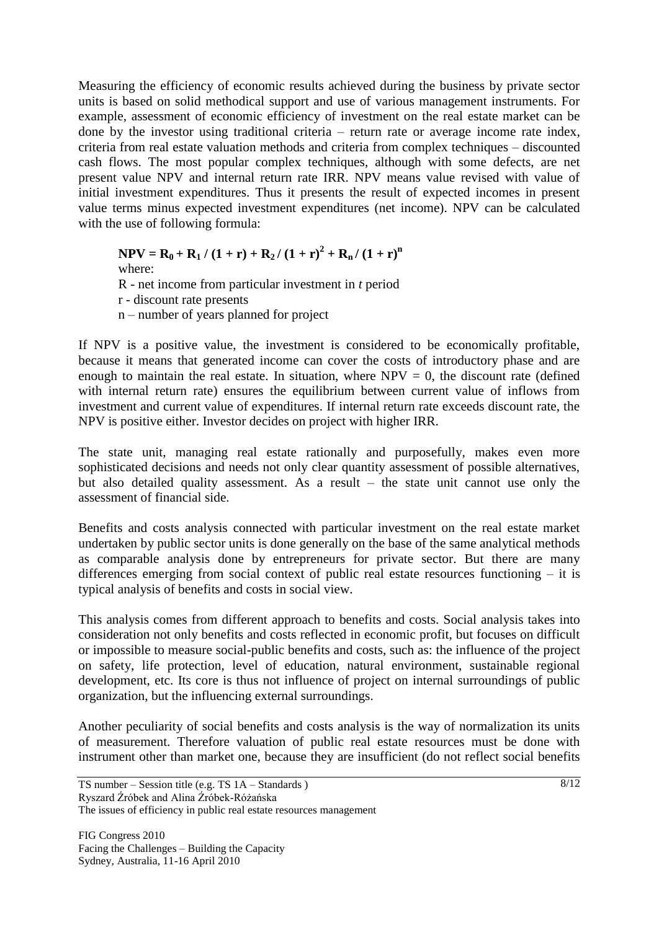Measuring the efficiency of economic results achieved during the business by private sector units is based on solid methodical support and use of various management instruments. For example, assessment of economic efficiency of investment on the real estate market can be done by the investor using traditional criteria – return rate or average income rate index, criteria from real estate valuation methods and criteria from complex techniques – discounted cash flows. The most popular complex techniques, although with some defects, are net present value NPV and internal return rate IRR. NPV means value revised with value of initial investment expenditures. Thus it presents the result of expected incomes in present value terms minus expected investment expenditures (net income). NPV can be calculated with the use of following formula:

**NPV** =  $R_0$  +  $R_1$  / (1 + r) +  $R_2$  / (1 + r)<sup>2</sup> +  $R_n$  / (1 + r)<sup>n</sup> where: R - net income from particular investment in *t* period r - discount rate presents n – number of years planned for project

If NPV is a positive value, the investment is considered to be economically profitable, because it means that generated income can cover the costs of introductory phase and are enough to maintain the real estate. In situation, where  $NPV = 0$ , the discount rate (defined with internal return rate) ensures the equilibrium between current value of inflows from investment and current value of expenditures. If internal return rate exceeds discount rate, the NPV is positive either. Investor decides on project with higher IRR.

The state unit, managing real estate rationally and purposefully, makes even more sophisticated decisions and needs not only clear quantity assessment of possible alternatives, but also detailed quality assessment. As a result – the state unit cannot use only the assessment of financial side.

Benefits and costs analysis connected with particular investment on the real estate market undertaken by public sector units is done generally on the base of the same analytical methods as comparable analysis done by entrepreneurs for private sector. But there are many differences emerging from social context of public real estate resources functioning – it is typical analysis of benefits and costs in social view.

This analysis comes from different approach to benefits and costs. Social analysis takes into consideration not only benefits and costs reflected in economic profit, but focuses on difficult or impossible to measure social-public benefits and costs, such as: the influence of the project on safety, life protection, level of education, natural environment, sustainable regional development, etc. Its core is thus not influence of project on internal surroundings of public organization, but the influencing external surroundings.

Another peculiarity of social benefits and costs analysis is the way of normalization its units of measurement. Therefore valuation of public real estate resources must be done with instrument other than market one, because they are insufficient (do not reflect social benefits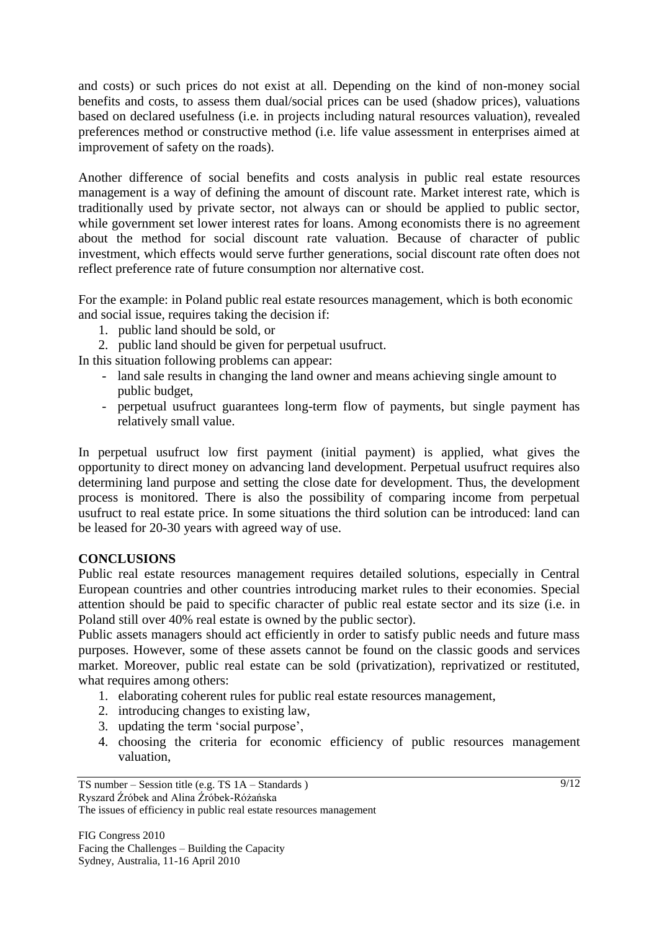and costs) or such prices do not exist at all. Depending on the kind of non-money social benefits and costs, to assess them dual/social prices can be used (shadow prices), valuations based on declared usefulness (i.e. in projects including natural resources valuation), revealed preferences method or constructive method (i.e. life value assessment in enterprises aimed at improvement of safety on the roads).

Another difference of social benefits and costs analysis in public real estate resources management is a way of defining the amount of discount rate. Market interest rate, which is traditionally used by private sector, not always can or should be applied to public sector, while government set lower interest rates for loans. Among economists there is no agreement about the method for social discount rate valuation. Because of character of public investment, which effects would serve further generations, social discount rate often does not reflect preference rate of future consumption nor alternative cost.

For the example: in Poland public real estate resources management, which is both economic and social issue, requires taking the decision if:

- 1. public land should be sold, or
- 2. public land should be given for perpetual usufruct.

In this situation following problems can appear:

- land sale results in changing the land owner and means achieving single amount to public budget,
- perpetual usufruct guarantees long-term flow of payments, but single payment has relatively small value.

In perpetual usufruct low first payment (initial payment) is applied, what gives the opportunity to direct money on advancing land development. Perpetual usufruct requires also determining land purpose and setting the close date for development. Thus, the development process is monitored. There is also the possibility of comparing income from perpetual usufruct to real estate price. In some situations the third solution can be introduced: land can be leased for 20-30 years with agreed way of use.

### **CONCLUSIONS**

Public real estate resources management requires detailed solutions, especially in Central European countries and other countries introducing market rules to their economies. Special attention should be paid to specific character of public real estate sector and its size (i.e. in Poland still over 40% real estate is owned by the public sector).

Public assets managers should act efficiently in order to satisfy public needs and future mass purposes. However, some of these assets cannot be found on the classic goods and services market. Moreover, public real estate can be sold (privatization), reprivatized or restituted, what requires among others:

- 1. elaborating coherent rules for public real estate resources management,
- 2. introducing changes to existing law,
- 3. updating the term "social purpose",
- 4. choosing the criteria for economic efficiency of public resources management valuation,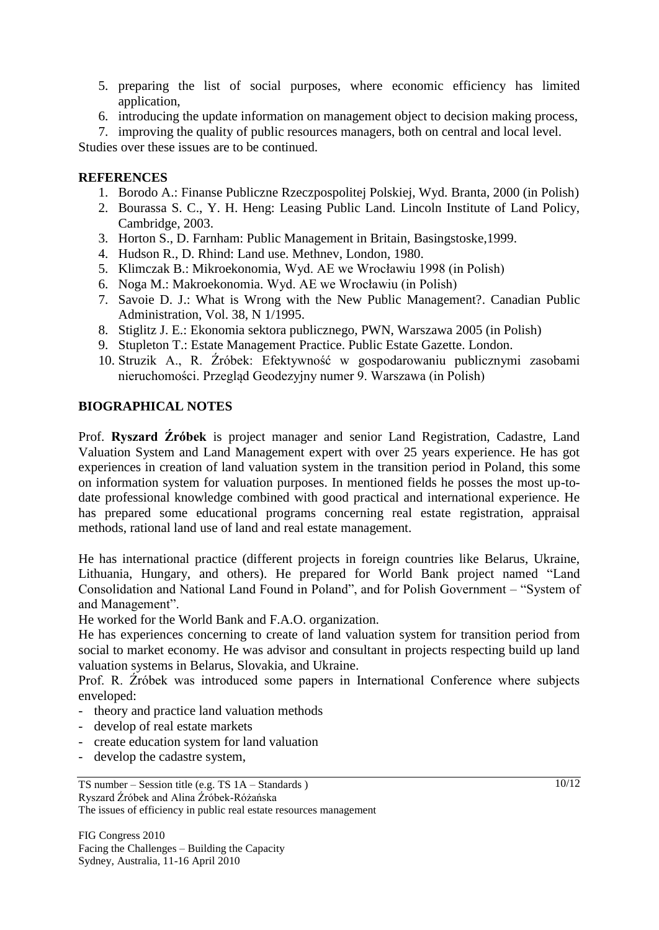- 5. preparing the list of social purposes, where economic efficiency has limited application,
- 6. introducing the update information on management object to decision making process,
- 7. improving the quality of public resources managers, both on central and local level.

Studies over these issues are to be continued.

### **REFERENCES**

- 1. Borodo A.: Finanse Publiczne Rzeczpospolitej Polskiej, Wyd. Branta, 2000 (in Polish)
- 2. Bourassa S. C., Y. H. Heng: Leasing Public Land. Lincoln Institute of Land Policy, Cambridge, 2003.
- 3. Horton S., D. Farnham: Public Management in Britain, Basingstoske,1999.
- 4. Hudson R., D. Rhind: Land use. Methnev, London, 1980.
- 5. Klimczak B.: Mikroekonomia, Wyd. AE we Wrocławiu 1998 (in Polish)
- 6. Noga M.: Makroekonomia. Wyd. AE we Wrocławiu (in Polish)
- 7. Savoie D. J.: What is Wrong with the New Public Management?. Canadian Public Administration, Vol. 38, N 1/1995.
- 8. Stiglitz J. E.: Ekonomia sektora publicznego, PWN, Warszawa 2005 (in Polish)
- 9. Stupleton T.: Estate Management Practice. Public Estate Gazette. London.
- 10. Struzik A., R. Źróbek: Efektywność w gospodarowaniu publicznymi zasobami nieruchomości. Przegląd Geodezyjny numer 9. Warszawa (in Polish)

#### **BIOGRAPHICAL NOTES**

Prof. **Ryszard Źróbek** is project manager and senior Land Registration, Cadastre, Land Valuation System and Land Management expert with over 25 years experience. He has got experiences in creation of land valuation system in the transition period in Poland, this some on information system for valuation purposes. In mentioned fields he posses the most up-todate professional knowledge combined with good practical and international experience. He has prepared some educational programs concerning real estate registration, appraisal methods, rational land use of land and real estate management.

He has international practice (different projects in foreign countries like Belarus, Ukraine, Lithuania, Hungary, and others). He prepared for World Bank project named "Land Consolidation and National Land Found in Poland", and for Polish Government – "System of and Management".

He worked for the World Bank and F.A.O. organization.

He has experiences concerning to create of land valuation system for transition period from social to market economy. He was advisor and consultant in projects respecting build up land valuation systems in Belarus, Slovakia, and Ukraine.

Prof. R. Źróbek was introduced some papers in International Conference where subjects enveloped:

- theory and practice land valuation methods
- develop of real estate markets
- create education system for land valuation
- develop the cadastre system,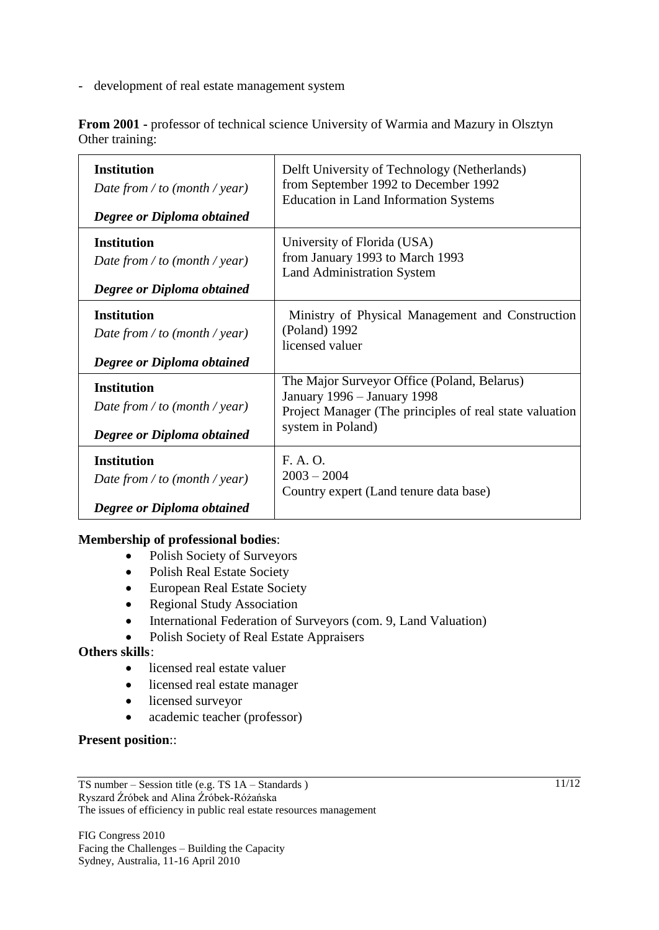development of real estate management system

**From 2001 -** professor of technical science University of Warmia and Mazury in Olsztyn Other training:

| <b>Institution</b>                                                                | Delft University of Technology (Netherlands)                                                                                                                |
|-----------------------------------------------------------------------------------|-------------------------------------------------------------------------------------------------------------------------------------------------------------|
| Date from / to (month / year)                                                     | from September 1992 to December 1992                                                                                                                        |
| Degree or Diploma obtained                                                        | <b>Education in Land Information Systems</b>                                                                                                                |
| <b>Institution</b>                                                                | University of Florida (USA)                                                                                                                                 |
| Date from / to (month / year)                                                     | from January 1993 to March 1993                                                                                                                             |
| Degree or Diploma obtained                                                        | <b>Land Administration System</b>                                                                                                                           |
| <b>Institution</b>                                                                | Ministry of Physical Management and Construction                                                                                                            |
| Date from / to (month / year)                                                     | (Poland) 1992                                                                                                                                               |
| Degree or Diploma obtained                                                        | licensed valuer                                                                                                                                             |
| <b>Institution</b><br>Date from / to (month / year)<br>Degree or Diploma obtained | The Major Surveyor Office (Poland, Belarus)<br>January 1996 - January 1998<br>Project Manager (The principles of real state valuation)<br>system in Poland) |
| <b>Institution</b>                                                                | F. A. O.                                                                                                                                                    |
| Date from / to (month / year)                                                     | $2003 - 2004$                                                                                                                                               |
| Degree or Diploma obtained                                                        | Country expert (Land tenure data base)                                                                                                                      |

#### **Membership of professional bodies**:

- Polish Society of Surveyors
- Polish Real Estate Society
- European Real Estate Society
- Regional Study Association
- International Federation of Surveyors (com. 9, Land Valuation)
- Polish Society of Real Estate Appraisers

### **Others skills**:

- licensed real estate valuer
- licensed real estate manager
- licensed surveyor
- academic teacher (professor)

#### **Present position**::

FIG Congress 2010 Facing the Challenges – Building the Capacity Sydney, Australia, 11-16 April 2010

11/12

TS number – Session title (e.g. TS 1A – Standards ) Ryszard Źróbek and Alina Źróbek-Różańska The issues of efficiency in public real estate resources management